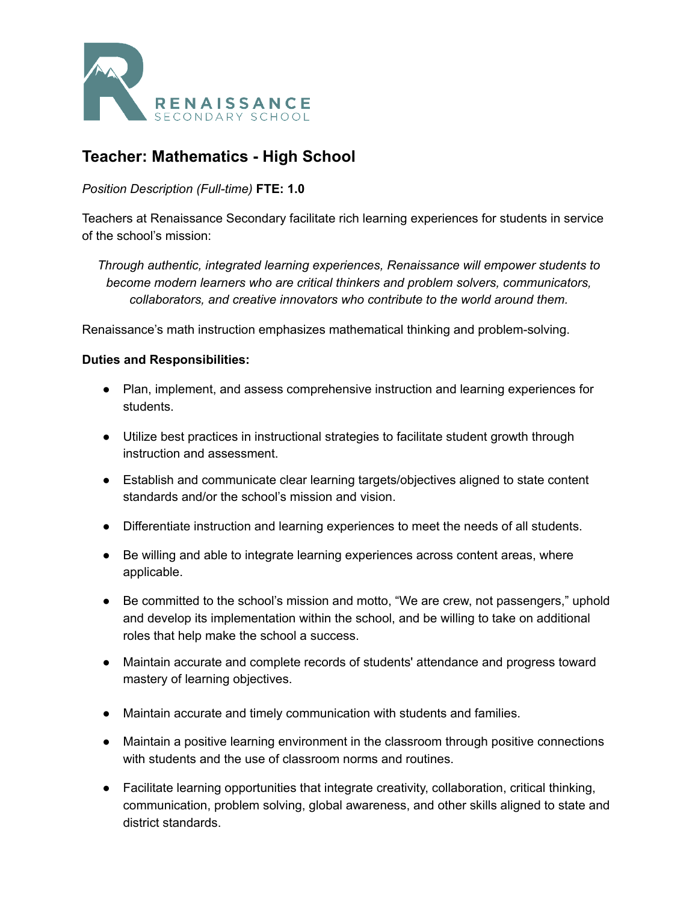

# **Teacher: Mathematics - High School**

## *Position Description (Full-time)* **FTE: 1.0**

Teachers at Renaissance Secondary facilitate rich learning experiences for students in service of the school's mission:

*Through authentic, integrated learning experiences, Renaissance will empower students to become modern learners who are critical thinkers and problem solvers, communicators, collaborators, and creative innovators who contribute to the world around them.*

Renaissance's math instruction emphasizes mathematical thinking and problem-solving.

#### **Duties and Responsibilities:**

- Plan, implement, and assess comprehensive instruction and learning experiences for students.
- Utilize best practices in instructional strategies to facilitate student growth through instruction and assessment.
- Establish and communicate clear learning targets/objectives aligned to state content standards and/or the school's mission and vision.
- Differentiate instruction and learning experiences to meet the needs of all students.
- Be willing and able to integrate learning experiences across content areas, where applicable.
- Be committed to the school's mission and motto, "We are crew, not passengers," uphold and develop its implementation within the school, and be willing to take on additional roles that help make the school a success.
- Maintain accurate and complete records of students' attendance and progress toward mastery of learning objectives.
- Maintain accurate and timely communication with students and families.
- Maintain a positive learning environment in the classroom through positive connections with students and the use of classroom norms and routines.
- Facilitate learning opportunities that integrate creativity, collaboration, critical thinking, communication, problem solving, global awareness, and other skills aligned to state and district standards.